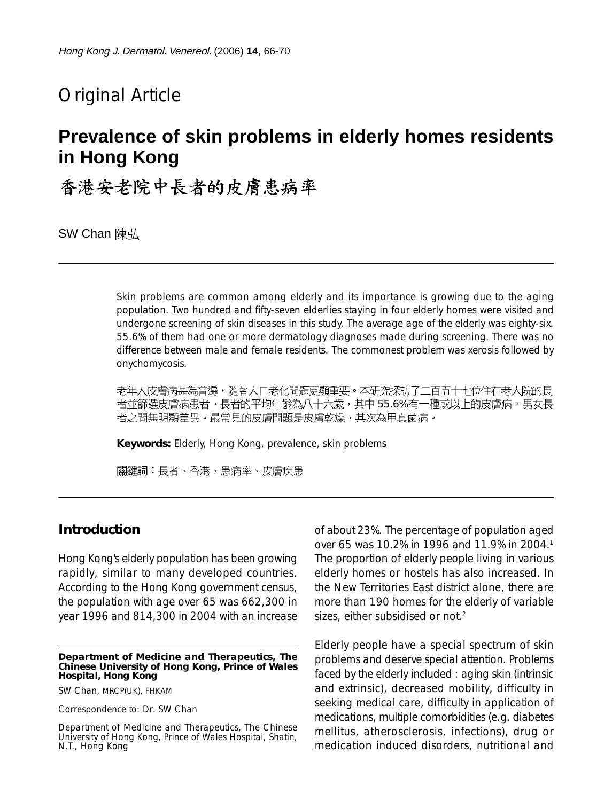# Original Article

# **Prevalence of skin problems in elderly homes residents in Hong Kong**

香港安老院中長者的皮膚患病率

SW Chan 陳弘

Skin problems are common among elderly and its importance is growing due to the aging population. Two hundred and fifty-seven elderlies staying in four elderly homes were visited and undergone screening of skin diseases in this study. The average age of the elderly was eighty-six. 55.6% of them had one or more dermatology diagnoses made during screening. There was no difference between male and female residents. The commonest problem was xerosis followed by onychomycosis.

老年人皮膚病甚為普遍,隨著人口老化問題更顯重要。本研究探訪了二百五十七位住在老人院的長 者並篩選皮膚病患者。長者的平均年齡為八十六歲,其中 55.6% 有一種或以上的皮膚病。男女長 者之間無明顯差異。最常見的皮膚問題是皮膚乾燥,其次為甲真菌病。

**Keywords:** Elderly, Hong Kong, prevalence, skin problems

關鍵詞:長者、香港、患病率、皮膚疾患

## **Introduction**

Hong Kong's elderly population has been growing rapidly, similar to many developed countries. According to the Hong Kong government census, the population with age over 65 was 662,300 in year 1996 and 814,300 in 2004 with an increase

SW Chan, MRCP(UK), FHKAM

Correspondence to: Dr. SW Chan

Department of Medicine and Therapeutics, The Chinese University of Hong Kong, Prince of Wales Hospital, Shatin, N.T., Hong Kong

of about 23%. The percentage of population aged over 65 was 10.2% in 1996 and 11.9% in 2004.<sup>1</sup> The proportion of elderly people living in various elderly homes or hostels has also increased. In the New Territories East district alone, there are more than 190 homes for the elderly of variable sizes, either subsidised or not.<sup>2</sup>

Elderly people have a special spectrum of skin problems and deserve special attention. Problems faced by the elderly included : aging skin (intrinsic and extrinsic), decreased mobility, difficulty in seeking medical care, difficulty in application of medications, multiple comorbidities (e.g. diabetes mellitus, atherosclerosis, infections), drug or medication induced disorders, nutritional and

**Department of Medicine and Therapeutics, The Chinese University of Hong Kong, Prince of Wales Hospital, Hong Kong**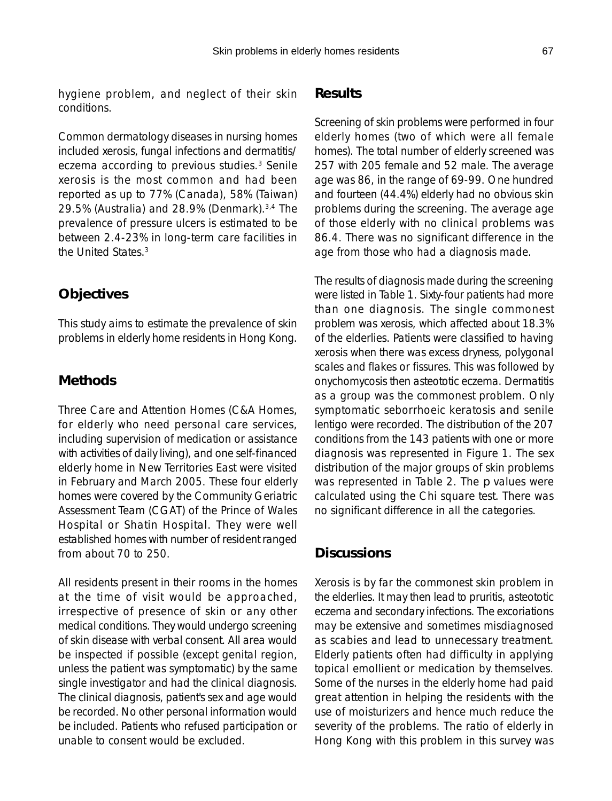hygiene problem, and neglect of their skin conditions.

Common dermatology diseases in nursing homes included xerosis, fungal infections and dermatitis/ eczema according to previous studies.3 Senile xerosis is the most common and had been reported as up to 77% (Canada), 58% (Taiwan) 29.5% (Australia) and 28.9% (Denmark).3,4 The prevalence of pressure ulcers is estimated to be between 2.4-23% in long-term care facilities in the United States.3

## **Objectives**

This study aims to estimate the prevalence of skin problems in elderly home residents in Hong Kong.

## **Methods**

Three Care and Attention Homes (C&A Homes, for elderly who need personal care services, including supervision of medication or assistance with activities of daily living), and one self-financed elderly home in New Territories East were visited in February and March 2005. These four elderly homes were covered by the Community Geriatric Assessment Team (CGAT) of the Prince of Wales Hospital or Shatin Hospital. They were well established homes with number of resident ranged from about 70 to 250.

All residents present in their rooms in the homes at the time of visit would be approached, irrespective of presence of skin or any other medical conditions. They would undergo screening of skin disease with verbal consent. All area would be inspected if possible (except genital region, unless the patient was symptomatic) by the same single investigator and had the clinical diagnosis. The clinical diagnosis, patient's sex and age would be recorded. No other personal information would be included. Patients who refused participation or unable to consent would be excluded.

#### **Results**

Screening of skin problems were performed in four elderly homes (two of which were all female homes). The total number of elderly screened was 257 with 205 female and 52 male. The average age was 86, in the range of 69-99. One hundred and fourteen (44.4%) elderly had no obvious skin problems during the screening. The average age of those elderly with no clinical problems was 86.4. There was no significant difference in the age from those who had a diagnosis made.

The results of diagnosis made during the screening were listed in Table 1. Sixty-four patients had more than one diagnosis. The single commonest problem was xerosis, which affected about 18.3% of the elderlies. Patients were classified to having xerosis when there was excess dryness, polygonal scales and flakes or fissures. This was followed by onychomycosis then asteototic eczema. Dermatitis as a group was the commonest problem. Only symptomatic seborrhoeic keratosis and senile lentigo were recorded. The distribution of the 207 conditions from the 143 patients with one or more diagnosis was represented in Figure 1. The sex distribution of the major groups of skin problems was represented in Table 2. The *p* values were calculated using the Chi square test. There was no significant difference in all the categories.

## **Discussions**

Xerosis is by far the commonest skin problem in the elderlies. It may then lead to pruritis, asteototic eczema and secondary infections. The excoriations may be extensive and sometimes misdiagnosed as scabies and lead to unnecessary treatment. Elderly patients often had difficulty in applying topical emollient or medication by themselves. Some of the nurses in the elderly home had paid great attention in helping the residents with the use of moisturizers and hence much reduce the severity of the problems. The ratio of elderly in Hong Kong with this problem in this survey was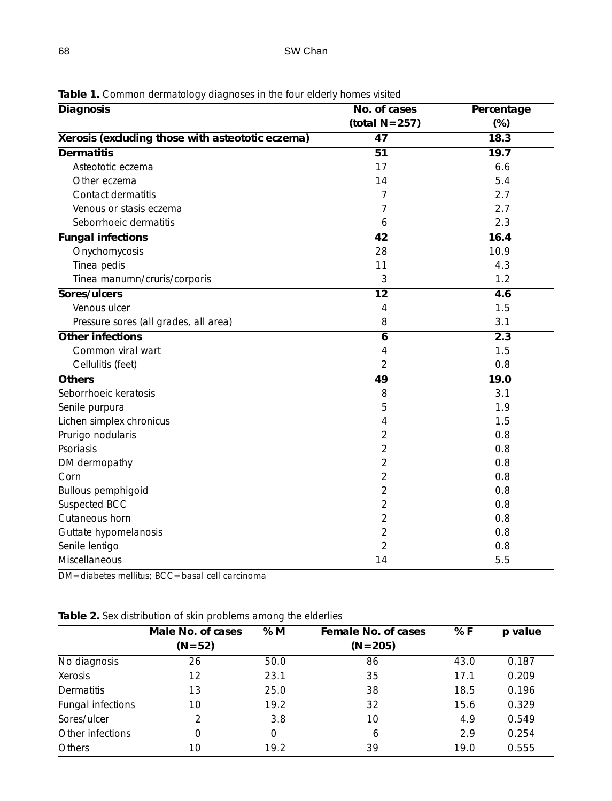| Diagnosis                                        | No. of cases     | Percentage |
|--------------------------------------------------|------------------|------------|
|                                                  | (total $N=257$ ) | $(\%)$     |
| Xerosis (excluding those with asteototic eczema) | 47               | 18.3       |
| <b>Dermatitis</b>                                | $\overline{51}$  | 19.7       |
| Asteototic eczema                                | 17               | 6.6        |
| Other eczema                                     | 14               | 5.4        |
| Contact dermatitis                               | 7                | 2.7        |
| Venous or stasis eczema                          | 7                | 2.7        |
| Seborrhoeic dermatitis                           | 6                | 2.3        |
| <b>Fungal infections</b>                         | 42               | 16.4       |
| Onychomycosis                                    | 28               | 10.9       |
| Tinea pedis                                      | 11               | 4.3        |
| Tinea manumn/cruris/corporis                     | 3                | 1.2        |
| Sores/ulcers                                     | $\overline{12}$  | 4.6        |
| Venous ulcer                                     | 4                | 1.5        |
| Pressure sores (all grades, all area)            | 8                | 3.1        |
| Other infections                                 | 6                | 2.3        |
| Common viral wart                                | 4                | 1.5        |
| Cellulitis (feet)                                | $\overline{2}$   | 0.8        |
| Others                                           | 49               | 19.0       |
| Seborrhoeic keratosis                            | 8                | 3.1        |
| Senile purpura                                   | 5                | 1.9        |
| Lichen simplex chronicus                         | 4                | 1.5        |
| Prurigo nodularis                                | 2                | 0.8        |
| Psoriasis                                        | $\overline{2}$   | 0.8        |
| DM dermopathy                                    | $\overline{2}$   | 0.8        |
| Corn                                             | $\overline{2}$   | 0.8        |
| <b>Bullous pemphigoid</b>                        | $\overline{2}$   | 0.8        |
| Suspected BCC                                    | $\overline{2}$   | 0.8        |
| Cutaneous horn                                   | $\overline{2}$   | 0.8        |
| Guttate hypomelanosis                            | 2                | 0.8        |
| Senile lentigo                                   | $\overline{2}$   | 0.8        |
| Miscellaneous                                    | 14               | 5.5        |

**Table 1.** Common dermatology diagnoses in the four elderly homes visited

DM=diabetes mellitus; BCC=basal cell carcinoma

|  | Table 2. Sex distribution of skin problems among the elderlies |  |  |  |
|--|----------------------------------------------------------------|--|--|--|
|  |                                                                |  |  |  |

|                   | Male No. of cases | % M  | Female No. of cases | % F  | p value |
|-------------------|-------------------|------|---------------------|------|---------|
|                   | $(N=52)$          |      | $(N=205)$           |      |         |
| No diagnosis      | 26                | 50.0 | 86                  | 43.0 | 0.187   |
| Xerosis           | 12                | 23.1 | 35                  | 17.1 | 0.209   |
| Dermatitis        | 13                | 25.0 | 38                  | 18.5 | 0.196   |
| Fungal infections | 10                | 19.2 | 32                  | 15.6 | 0.329   |
| Sores/ulcer       | $\mathcal{P}$     | 3.8  | 10                  | 4.9  | 0.549   |
| Other infections  | 0                 | 0    | 6                   | 2.9  | 0.254   |
| <b>Others</b>     | 10                | 19.2 | 39                  | 19.0 | 0.555   |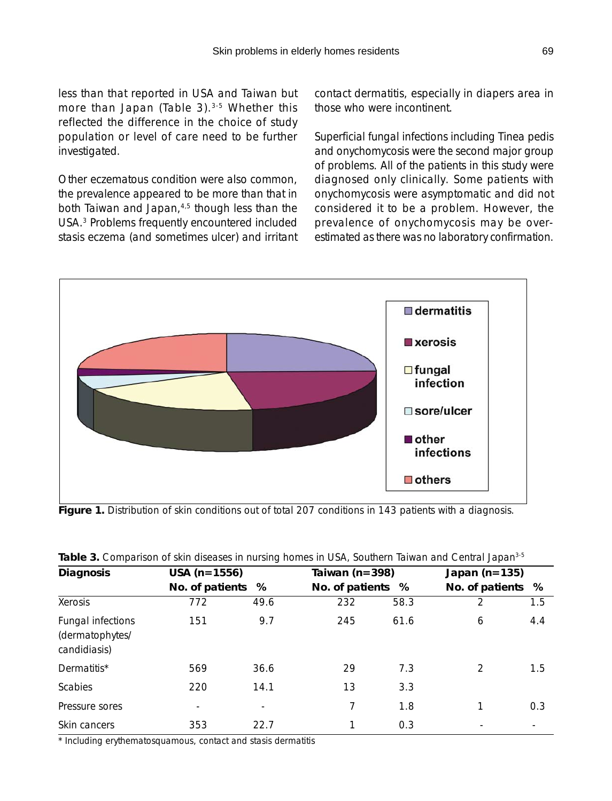less than that reported in USA and Taiwan but more than Japan (Table 3).<sup>3-5</sup> Whether this reflected the difference in the choice of study population or level of care need to be further investigated.

Other eczematous condition were also common, the prevalence appeared to be more than that in both Taiwan and Japan,<sup>4,5</sup> though less than the USA.3 Problems frequently encountered included stasis eczema (and sometimes ulcer) and irritant contact dermatitis, especially in diapers area in those who were incontinent.

Superficial fungal infections including Tinea pedis and onychomycosis were the second major group of problems. All of the patients in this study were diagnosed only clinically. Some patients with onychomycosis were asymptomatic and did not considered it to be a problem. However, the prevalence of onychomycosis may be overestimated as there was no laboratory confirmation.



Figure 1. Distribution of skin conditions out of total 207 conditions in 143 patients with a diagnosis.

| <b>Diagnosis</b>                                     | $USA (n=1556)$    |      | Taiwan ( $n = 398$ ) |      |                   | Japan $(n=135)$ |  |  |
|------------------------------------------------------|-------------------|------|----------------------|------|-------------------|-----------------|--|--|
|                                                      | No. of patients % |      | No. of patients %    |      | No. of patients % |                 |  |  |
| Xerosis                                              | 772               | 49.6 | 232                  | 58.3 | 2                 | 1.5             |  |  |
| Fungal infections<br>(dermatophytes/<br>candidiasis) | 151               | 9.7  | 245                  | 61.6 | 6                 | 4.4             |  |  |
| Dermatitis*                                          | 569               | 36.6 | 29                   | 7.3  | $\mathcal{P}$     | 1.5             |  |  |
| <b>Scabies</b>                                       | 220               | 14.1 | 13                   | 3.3  |                   |                 |  |  |
| Pressure sores                                       |                   |      | 7                    | 1.8  |                   | 0.3             |  |  |
| Skin cancers                                         | 353               | 22.7 |                      | 0.3  |                   |                 |  |  |

| Table 3. Comparison of skin diseases in nursing homes in USA, Southern Taiwan and Central Japan <sup>3-5</sup> |  |
|----------------------------------------------------------------------------------------------------------------|--|
|----------------------------------------------------------------------------------------------------------------|--|

\* Including erythematosquamous, contact and stasis dermatitis